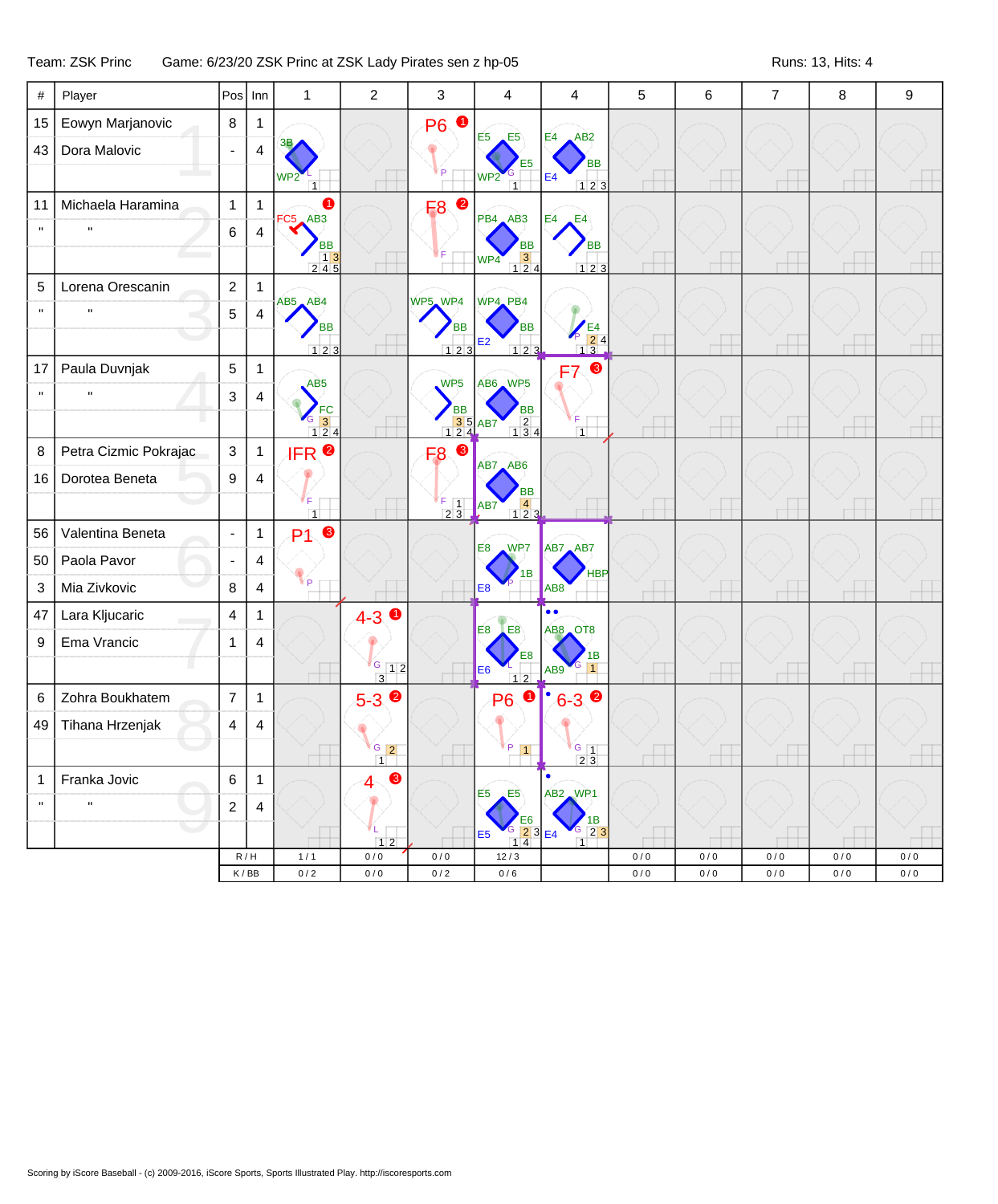## Team: ZSK Princ Game: 6/23/20 ZSK Princ at ZSK Lady Pirates sen z hp-05 Runs: 13, Hits: 4

| #            | Player                | Pos                      | Inn                     | $\mathbf{1}$                                        | $\overline{c}$           | 3                                             | 4                                                                                                                     | 4                                             | 5                        | 6      | $\overline{7}$ | 8   | 9   |
|--------------|-----------------------|--------------------------|-------------------------|-----------------------------------------------------|--------------------------|-----------------------------------------------|-----------------------------------------------------------------------------------------------------------------------|-----------------------------------------------|--------------------------|--------|----------------|-----|-----|
| 15           | Eowyn Marjanovic      | $\bf 8$                  | $\mathbf{1}$            |                                                     |                          | $\bullet$<br><b>P6</b>                        | $E5 \tE5$                                                                                                             | E4<br>AB <sub>2</sub>                         |                          |        |                |     |     |
| 43           | Dora Malovic          |                          | $\overline{\mathbf{4}}$ |                                                     |                          |                                               | E5                                                                                                                    | <b>BB</b>                                     |                          |        |                |     |     |
|              |                       |                          |                         | WP <sub>2</sub>                                     |                          | ΪP                                            | WP <sub>2</sub><br>$\overline{1}$                                                                                     | E <sub>4</sub><br>123                         |                          |        |                |     |     |
| 11           | Michaela Haramina     | $\mathbf{1}$             | $\mathbf{1}$            | A<br>$FC5$ $AB3$                                    |                          | F8 <sup>0</sup>                               | PB4 AB3                                                                                                               | E4<br>E4                                      |                          |        |                |     |     |
| $\mathbf{u}$ | $\mathbf{u}$          | 6                        | $\overline{4}$          | ВB                                                  |                          |                                               | <b>BB</b>                                                                                                             | <b>BB</b>                                     |                          |        |                |     |     |
|              |                       |                          |                         | $\begin{array}{c c} 1 & 3 \\ 2 & 4 & 5 \end{array}$ |                          |                                               | $\begin{array}{ c c }\n \hline\n 3 & 4 \\  \hline\n 1 & 2 & 4\n \end{array}$<br>WP4                                   | 123                                           | $\overline{\phantom{a}}$ |        |                |     |     |
| 5            | Lorena Orescanin      | $\overline{c}$           | $\mathbf{1}$            | AB5 AB4                                             |                          | WP5, WP4                                      | WP4_PB4                                                                                                               |                                               |                          |        |                |     |     |
| $\mathbf{u}$ | $\mathbf{u}$          | 5                        | $\overline{\mathbf{4}}$ | <b>BB</b>                                           |                          | <b>BB</b>                                     | <b>BB</b>                                                                                                             |                                               |                          |        |                |     |     |
|              |                       |                          |                         | $123$                                               |                          | 123                                           | E2<br>$123$                                                                                                           | $\frac{1}{2}$ = $\frac{1}{2}$ = $\frac{1}{3}$ |                          |        |                |     |     |
| 17           | Paula Duvnjak         | 5                        | $\mathbf{1}$            | AB <sub>5</sub>                                     |                          | WP <sub>5</sub>                               | AB6 WP5                                                                                                               | ❸<br>F7                                       |                          |        |                |     |     |
| $\mathbf{u}$ | $\mathbf{u}$          | 3                        | $\overline{4}$          | FC                                                  |                          | <b>BB</b>                                     | <b>BB</b>                                                                                                             |                                               |                          |        |                |     |     |
|              |                       |                          |                         | $\frac{6}{1}$ $\frac{3}{2}$ 4                       |                          | $\frac{3}{1}$ $\frac{5}{4}$ AB7               | $\begin{array}{c} 2 \\ 1 \ 3 \ 4 \end{array}$                                                                         | $\overline{1}$                                | $\overline{\phantom{a}}$ |        |                |     |     |
| 8            | Petra Cizmic Pokrajac | $\mathbf{3}$             | $\mathbf{1}$            | <b>IFR</b> <sup>O</sup>                             |                          | 6<br>F <sub>8</sub>                           | AB7 AB6                                                                                                               |                                               |                          |        |                |     |     |
| 16           | Dorotea Beneta        | 9                        | $\overline{4}$          |                                                     |                          |                                               | BB                                                                                                                    |                                               |                          |        |                |     |     |
|              |                       |                          |                         | ΓF.<br>1                                            |                          | F<br>$\begin{array}{c} 5 \ 2 \ 3 \end{array}$ | $\begin{array}{c} 4 \\ 123 \end{array}$<br>AB <sub>7</sub>                                                            |                                               |                          |        |                |     |     |
| 56           | Valentina Beneta      | $\overline{\phantom{a}}$ | $\mathbf{1}$            | ❸<br>P <sub>1</sub>                                 |                          |                                               | <b>E8</b> WP7                                                                                                         | AB7 AB7                                       |                          |        |                |     |     |
| 50           | Paola Pavor           |                          | $\overline{4}$          |                                                     |                          |                                               | 1B                                                                                                                    | <b>HBP</b>                                    |                          |        |                |     |     |
| 3            | Mia Zivkovic          | 8                        | $\overline{\mathbf{4}}$ | ¥р                                                  |                          |                                               | E <sub>8</sub>                                                                                                        | AB <sub>8</sub>                               | ਚ∯                       | $\Box$ |                |     |     |
| 47           | Lara Kljucaric        | 4                        | $\mathbf{1}$            |                                                     | $4 - 3$ 0                |                                               | LE8<br>E <sub>8</sub>                                                                                                 | $\bullet \bullet$<br>AB8 OT8                  |                          |        |                |     |     |
| 9            | Ema Vrancic           | 1                        | $\overline{4}$          |                                                     |                          |                                               | E8                                                                                                                    | 1В                                            |                          |        |                |     |     |
|              |                       |                          |                         |                                                     | $G$ 12<br>$\overline{3}$ |                                               | E <sub>6</sub><br>12                                                                                                  | AB <sub>9</sub>                               |                          |        |                |     |     |
| 6            | Zohra Boukhatem       | $\overline{7}$           | $\mathbf{1}$            |                                                     | $5 - 3$ $\bullet$        |                                               | $\bullet$<br><b>P6</b>                                                                                                | $6 - 3$ $\bullet$                             |                          |        |                |     |     |
| 49           | Tihana Hrzenjak       | 4                        | $\overline{4}$          |                                                     |                          |                                               |                                                                                                                       |                                               |                          |        |                |     |     |
|              |                       |                          |                         |                                                     | $G$ 2<br>$\overline{1}$  |                                               | P<br>$\vert$ 1                                                                                                        | G<br>$\vert$ 1<br>2.3                         |                          |        |                |     |     |
| $\mathbf{1}$ | Franka Jovic          | 6                        | 1                       |                                                     | ❸<br>4                   |                                               | E5<br>E5                                                                                                              | $\bullet$<br>AB2 WP1                          |                          |        |                |     |     |
| $\mathbf{u}$ | $\pmb{\mathsf{H}}$    | $\overline{\mathbf{c}}$  | 4                       |                                                     |                          |                                               | E <sub>6</sub>                                                                                                        | 1B                                            |                          |        |                |     |     |
|              |                       |                          |                         |                                                     | 12                       |                                               | $\begin{array}{ c c c c c }\n\hline\n\text{G} & \text{2} & \text{3} & \text{E4}\n\end{array}$<br>E <sub>5</sub><br>14 | $\boxed{2}$<br>G                              |                          |        |                |     |     |
|              |                       |                          | R/H                     | 1/1                                                 | 0/0                      | 0/0                                           | 12/3                                                                                                                  |                                               | 0/0                      | 0/0    | 0/0            | 0/0 | 0/0 |
|              |                       |                          | K/BB                    | $0/2$                                               | 0/0                      | 0/2                                           | 0/6                                                                                                                   |                                               | 0/0                      | 0/0    | 0/0            | 0/0 | 0/0 |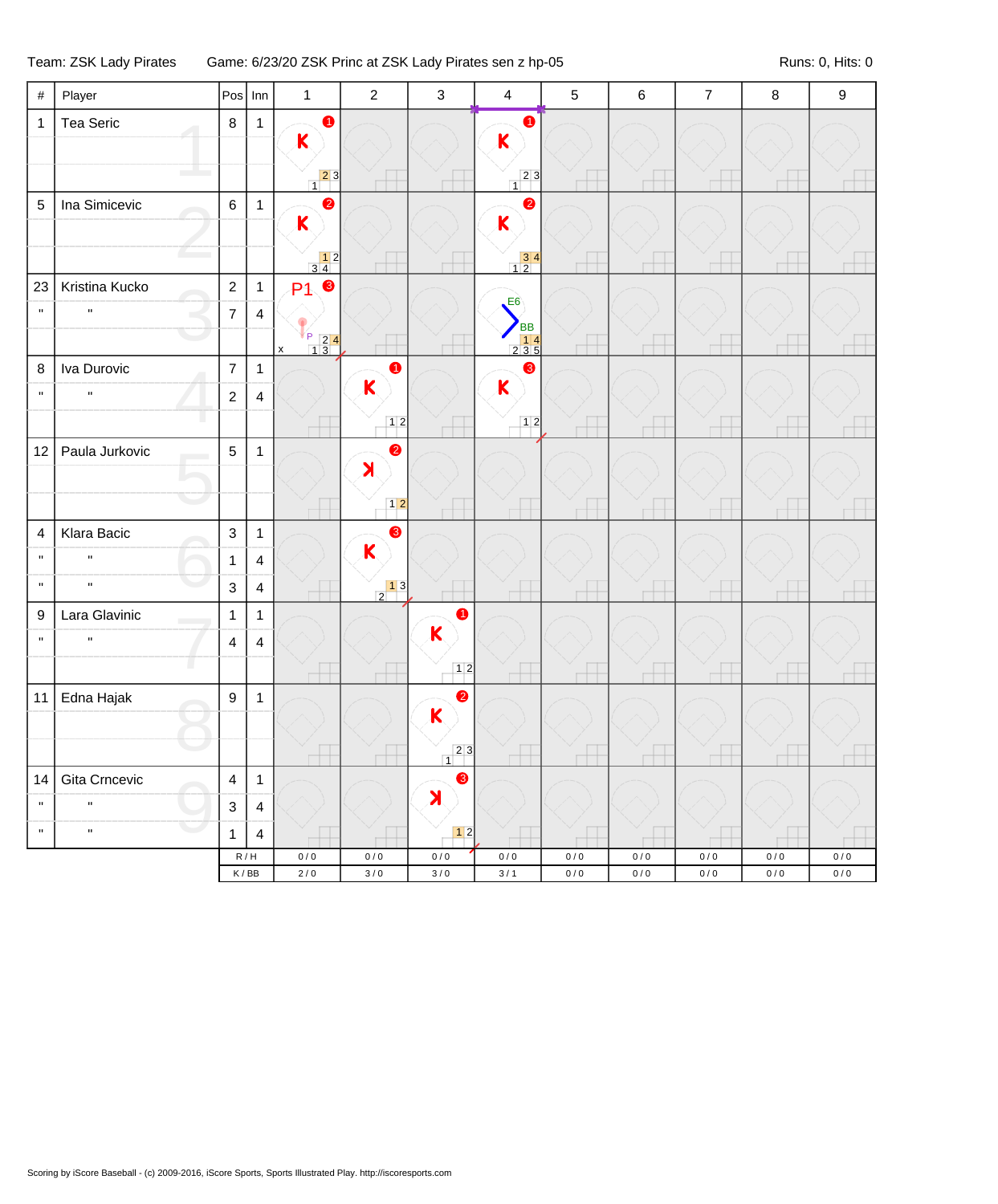## Team: ZSK Lady Pirates Game: 6/23/20 ZSK Princ at ZSK Lady Pirates sen z hp-05 Runs: 0, Hits: 0

| $\#$         | Player         | $Pos$ Inn                          |                | $\mathbf{1}$                                                       | $\sqrt{2}$                                               | $\mathsf 3$          | $\overline{\mathbf{4}}$                                     | $\sqrt{5}$     | $\,6\,$            | $\overline{7}$ | $\bf 8$                | $\boldsymbol{9}$ |
|--------------|----------------|------------------------------------|----------------|--------------------------------------------------------------------|----------------------------------------------------------|----------------------|-------------------------------------------------------------|----------------|--------------------|----------------|------------------------|------------------|
| $\mathbf{1}$ | Tea Seric      | $\,8\,$                            | $\mathbf{1}$   | $\bullet$                                                          |                                                          |                      | $\bullet$                                                   |                |                    |                |                        |                  |
|              |                |                                    |                | $\mathsf{K}$                                                       |                                                          |                      | $\mathsf{K}$                                                |                |                    |                |                        |                  |
|              |                |                                    |                | $\begin{array}{c c} & 2 & 3 \\ 1 & & \end{array}$                  |                                                          |                      | $\begin{array}{c c} 2 & 3 \end{array}$                      |                |                    |                |                        |                  |
| $\sqrt{5}$   | Ina Simicevic  | $\,6\,$                            | $\mathbf{1}$   | $\bullet$<br>$\mathsf{K}$                                          |                                                          |                      | $\bullet$                                                   |                |                    |                |                        |                  |
|              |                |                                    |                |                                                                    |                                                          |                      | K                                                           |                |                    |                |                        |                  |
|              |                |                                    |                | $\begin{array}{c} 12 \\ 34 \end{array}$                            |                                                          |                      | $\begin{array}{ c c }\n\hline\n3 & 4 \\ 1 & 2\n\end{array}$ |                |                    |                |                        |                  |
| 23           | Kristina Kucko | $\sqrt{2}$                         | $\mathbf{1}$   | $\bullet$<br>P <sub>1</sub>                                        |                                                          |                      | E6                                                          |                |                    |                |                        |                  |
| $\mathbf{u}$ | $\mathbf{u}$   | $\overline{7}$                     | $\overline{4}$ |                                                                    |                                                          |                      | <b>BB</b>                                                   |                |                    |                |                        |                  |
|              |                |                                    |                | $\begin{array}{c c}\n2 & 2 & 4 \\ \hline\n1 & 3\n\end{array}$<br>X |                                                          |                      | $\begin{array}{r} 14 \\ 235 \end{array}$                    |                |                    |                |                        |                  |
| $\bf 8$      | Iva Durovic    | $\overline{7}$                     | $\mathbf{1}$   |                                                                    | $\bullet$<br>K                                           |                      | ❸<br>$\mathbf K$                                            |                |                    |                |                        |                  |
| $\mathbf{u}$ | $\mathbf{u}$   | $\overline{c}$                     | $\overline{4}$ |                                                                    |                                                          |                      |                                                             |                |                    |                |                        |                  |
|              |                |                                    |                |                                                                    | 12                                                       |                      | $12$                                                        |                |                    |                |                        |                  |
| 12           | Paula Jurkovic | $\overline{5}$                     | $\mathbf{1}$   |                                                                    | $\bullet$<br>X                                           |                      |                                                             |                |                    |                |                        |                  |
|              |                |                                    |                |                                                                    |                                                          |                      |                                                             |                |                    |                |                        |                  |
|              |                |                                    |                |                                                                    | $12$                                                     |                      |                                                             |                |                    |                |                        |                  |
| 4            | Klara Bacic    | $\mathfrak{S}$                     | $\mathbf{1}$   |                                                                    | 8<br>K                                                   |                      |                                                             |                |                    |                |                        |                  |
| $\mathbf{H}$ | $\mathbf{u}$   | $\mathbf{1}$                       | $\overline{4}$ |                                                                    |                                                          |                      |                                                             |                |                    |                |                        |                  |
| $\mathbf{u}$ | $\mathbf{u}$   | 3                                  | $\overline{4}$ |                                                                    | $\begin{array}{c c} & 1 & 3 \\ \hline 2 & & \end{array}$ |                      |                                                             | ł              |                    |                |                        |                  |
| 9            | Lara Glavinic  | $\mathbf{1}$                       | $\mathbf{1}$   |                                                                    |                                                          | $\bullet$<br>K       |                                                             |                |                    |                |                        |                  |
| $\mathbf{u}$ | $\mathbf{u}$   | $\overline{\mathbf{4}}$            | $\overline{4}$ |                                                                    |                                                          |                      |                                                             |                |                    |                |                        |                  |
|              |                |                                    |                |                                                                    |                                                          | 12                   |                                                             |                |                    |                |                        |                  |
| 11           | Edna Hajak     | $\boldsymbol{9}$                   | $\mathbf{1}$   |                                                                    |                                                          | $\bullet$<br>K       |                                                             |                |                    |                |                        |                  |
|              |                |                                    |                |                                                                    |                                                          |                      |                                                             |                |                    |                |                        |                  |
|              |                |                                    |                |                                                                    |                                                          | 23<br>$\overline{1}$ |                                                             |                |                    |                |                        |                  |
| 14           | Gita Crncevic  | $\overline{\mathbf{4}}$            | $\mathbf{1}$   |                                                                    |                                                          | $\bullet$<br>X       |                                                             |                |                    |                |                        |                  |
| $\mathbf{u}$ | $\mathbf{H}$   | $\mathbf{3}$                       | $\overline{4}$ |                                                                    |                                                          |                      |                                                             |                |                    |                |                        |                  |
| $\mathbf{u}$ | $\mathbf{u}$   | $\mathbf{1}$                       | $\overline{4}$ |                                                                    |                                                          | $\boxed{1}$          |                                                             |                |                    |                |                        |                  |
|              |                | R/H<br>$\mathsf K\,/\,\mathsf{BB}$ |                | $0/0$<br>$2/0$                                                     | $0/0$<br>$3/0$                                           | $0/0$<br>$3/0$       | $0\,/\,0$<br>$3/1$                                          | $0/0$<br>$0/0$ | $0\,/\,0$<br>$0/0$ | $0/0$<br>$0/0$ | $0\,/\,0$<br>$0\,/\,0$ | $0/0$<br>$0/0$   |